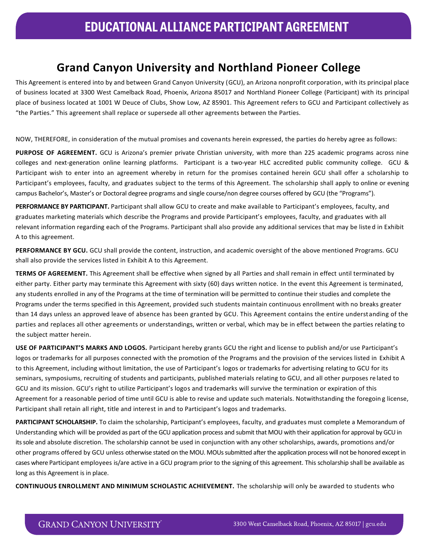### **Grand Canyon University and Northland Pioneer College**

This Agreement is entered into by and between Grand Canyon University (GCU), an Arizona nonprofit corporation, with its principal place of business located at 3300 West Camelback Road, Phoenix, Arizona 85017 and Northland Pioneer College (Participant) with its principal place of business located at 1001 W Deuce of Clubs, Show Low, AZ 85901. This Agreement refers to GCU and Participant collectively as "the Parties." This agreement shall replace or supersede all other agreements between the Parties.

NOW, THEREFORE, in consideration of the mutual promises and covenants herein expressed, the parties do hereby agree as follows:

PURPOSE OF AGREEMENT. GCU is Arizona's premier private Christian university, with more than 225 academic programs across nine colleges and next-generation online learning platforms. Participant is a two-year HLC accredited public community college. GCU & Participant wish to enter into an agreement whereby in return for the promises contained herein GCU shall offer a scholarship to Participant's employees, faculty, and graduates subject to the terms of this Agreement. The scholarship shall apply to online or evening campus Bachelor's, Master's or Doctoral degree programs and single course/non degree courses offered by GCU (the "Programs").

**PERFORMANCE BY PARTICIPANT.** Participant shall allow GCU to create and make available to Participant's employees, faculty, and graduates marketing materials which describe the Programs and provide Participant's employees, faculty, and graduates with all relevant information regarding each of the Programs. Participant shall also provide any additional services that may be liste d in Exhibit A to this agreement.

**PERFORMANCE BY GCU.** GCU shall provide the content, instruction, and academic oversight of the above mentioned Programs. GCU shall also provide the services listed in Exhibit A to this Agreement.

**TERMS OF AGREEMENT.** This Agreement shall be effective when signed by all Parties and shall remain in effect until terminated by either party. Either party may terminate this Agreement with sixty (60) days written notice. In the event this Agreement is terminated, any students enrolled in any of the Programs at the time of termination will be permitted to continue their studies and complete the Programs under the terms specified in this Agreement, provided such students maintain continuous enrollment with no breaks greater than 14 days unless an approved leave of absence has been granted by GCU. This Agreement contains the entire understanding of the parties and replaces all other agreements or understandings, written or verbal, which may be in effect between the parties relating to the subject matter herein.

**USE OF PARTICIPANT'S MARKS AND LOGOS.** Participant hereby grants GCU the right and license to publish and/or use Participant's logos or trademarks for all purposes connected with the promotion of the Programs and the provision of the services listed in Exhibit A to this Agreement, including without limitation, the use of Participant's logos or trademarks for advertising relating to GCU for its seminars, symposiums, recruiting of students and participants, published materials relating to GCU, and all other purposes re lated to GCU and its mission. GCU's right to utilize Participant's logos and trademarks will survive the termination or expiration of this Agreement for a reasonable period of time until GCU is able to revise and update such materials. Notwithstanding the foregoin g license, Participant shall retain all right, title and interest in and to Participant's logos and trademarks.

**PARTICIPANT SCHOLARSHIP.** To claim the scholarship, Participant's employees, faculty, and graduates must complete a Memorandum of Understanding which will be provided as part of the GCU application process and submit that MOU with their application for approval by GCU in its sole and absolute discretion. The scholarship cannot be used in conjunction with any other scholarships, awards, promotions and/or other programs offered by GCU unless otherwise stated on the MOU. MOUs submitted after the application process will not be honored except in cases where Participant employees is/are active in a GCU program prior to the signing of this agreement. This scholarship shall be available as long as this Agreement is in place.

**CONTINUOUS ENROLLMENT AND MINIMUM SCHOLASTIC ACHIEVEMENT.** The scholarship will only be awarded to students who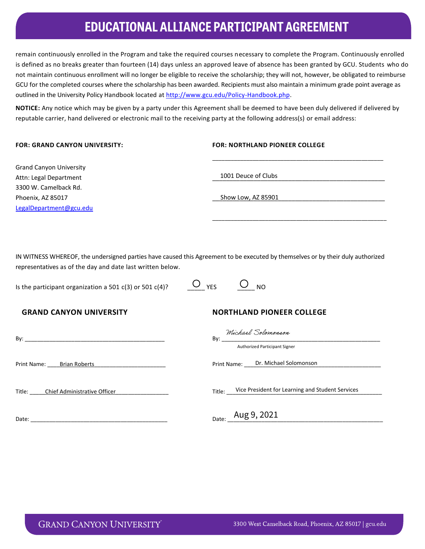# **EDUCATIONAL ALLIANCE PARTICIPANT AGREEMENT**

remain continuously enrolled in the Program and take the required courses necessary to complete the Program. Continuously enrolled is defined as no breaks greater than fourteen (14) days unless an approved leave of absence has been granted by GCU. Students who do not maintain continuous enrollment will no longer be eligible to receive the scholarship; they will not, however, be obligated to reimburse GCU for the completed courses where the scholarship has been awarded. Recipients must also maintain a minimum grade point average as outlined in the University Policy Handbook located at [http://www.gcu.edu/Policy-Handbook.php.](http://www.gcu.edu/Policy-Handbook.php)

**NOTICE:** Any notice which may be given by a party under this Agreement shall be deemed to have been duly delivered if delivered by reputable carrier, hand delivered or electronic mail to the receiving party at the following address(s) or email address:

#### **FOR: GRAND CANYON UNIVERSITY: FOR: NORTHLAND PIONEER COLLEGE**

\_\_\_\_\_\_\_\_\_\_\_\_\_\_\_\_\_\_\_\_\_\_\_\_\_\_\_\_\_\_\_\_\_\_\_\_\_\_\_\_\_\_\_\_\_\_\_\_\_\_\_\_\_\_\_

\_\_\_\_\_\_\_\_\_\_\_\_\_\_\_\_\_\_\_\_\_\_\_\_\_\_\_\_\_\_\_\_\_\_\_\_\_\_\_\_\_\_\_\_\_\_\_\_\_\_\_\_\_\_\_\_

Grand Canyon University Attn: Legal Department 3300 W. Camelback Rd. Phoenix, AZ 85017 **Phoenix, AZ 85901 Phoenix**, AZ 85901 [LegalDepartment@gcu.edu](mailto:LegalDepartment@gcu.edu)

1001 Deuce of Clubs

IN WITNESS WHEREOF, the undersigned parties have caused this Agreement to be executed by themselves or by their duly authorized representatives as of the day and date last written below.

Is the participant organization a 501 c(3) or 501 c(4)?  $\overline{O}_{\text{YES}}$   $\overline{O}_{\text{NO}}$ 

|  | AND CANVON HNIVERSITY! |
|--|------------------------|

|     | <i>magave Socomoneon</i> |
|-----|--------------------------|
| Bv: | R٧<br>--                 |

Print Name: \_\_\_\_Brian Roberts\_\_\_\_\_\_\_\_\_\_\_\_\_\_\_\_\_\_\_\_\_\_\_ Print Name: \_\_\_\_\_\_\_\_\_\_\_\_\_\_\_\_\_\_\_\_\_\_\_\_\_\_\_\_\_\_\_\_\_\_\_\_\_\_\_\_\_\_\_\_ Dr. Michael Solomonson

Title: Chief Administrative Officer **Example 2018** Title:  $\blacksquare$ 

**GRAND CANYON UNIVERSITY NORTHLAND PIONEER COLLEGE**

Michael Solomonson

Authorized Participant Signer

Vice President for Learning and Student Services

Date: \_\_\_\_\_\_\_\_\_\_\_\_\_\_\_\_\_\_\_\_\_\_\_\_\_\_\_\_\_\_\_\_\_\_\_\_\_\_\_\_\_\_\_\_ Date: \_\_\_\_\_\_\_\_\_\_\_\_\_\_\_\_\_\_\_\_\_\_\_\_\_\_\_\_\_\_\_\_\_\_\_\_\_\_\_\_\_\_\_\_\_\_\_\_\_\_ Aug 9, 2021